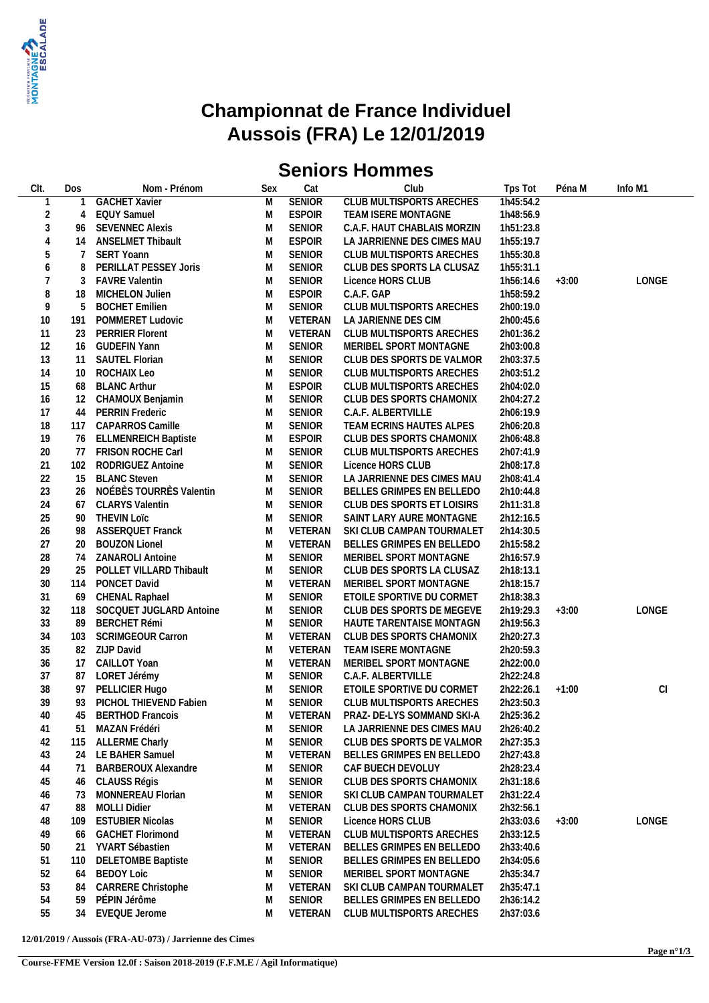

## **Championnat de France Individuel Aussois (FRA) Le 12/01/2019**

# **Seniors Hommes**

| CIt. | Dos | Nom - Prénom                | Sex | Cat           | Club                            | Tps Tot   | Péna M  | Info M1 |
|------|-----|-----------------------------|-----|---------------|---------------------------------|-----------|---------|---------|
|      |     | <b>GACHET Xavier</b>        | M   | <b>SENIOR</b> | <b>CLUB MULTISPORTS ARECHES</b> | 1h45:54.2 |         |         |
| 2    | 4   | <b>EQUY Samuel</b>          | M   | <b>ESPOIR</b> | TEAM ISERE MONTAGNE             | 1h48:56.9 |         |         |
| 3    | 96  | <b>SEVENNEC Alexis</b>      | M   | <b>SENIOR</b> | C.A.F. HAUT CHABLAIS MORZIN     | 1h51:23.8 |         |         |
| 4    | 14  | <b>ANSELMET Thibault</b>    | M   | <b>ESPOIR</b> | LA JARRIENNE DES CIMES MAU      | 1h55:19.7 |         |         |
| 5    | 7   | <b>SERT Yoann</b>           | M   | <b>SENIOR</b> |                                 |           |         |         |
|      |     |                             |     |               | CLUB MULTISPORTS ARECHES        | 1h55:30.8 |         |         |
| 6    | 8   | PERILLAT PESSEY Joris       | M   | <b>SENIOR</b> | CLUB DES SPORTS LA CLUSAZ       | 1h55:31.1 |         |         |
|      | 3   | <b>FAVRE Valentin</b>       | M   | <b>SENIOR</b> | Licence HORS CLUB               | 1h56:14.6 | $+3:00$ | LONGE   |
| 8    | 18  | MICHELON Julien             | M   | <b>ESPOIR</b> | C.A.F. GAP                      | 1h58:59.2 |         |         |
| 9    | 5   | <b>BOCHET Emilien</b>       | M   | <b>SENIOR</b> | CLUB MULTISPORTS ARECHES        | 2h00:19.0 |         |         |
| 10   | 191 | POMMERET Ludovic            | M   | VETERAN       | LA JARIENNE DES CIM             | 2h00:45.6 |         |         |
| 11   | 23  | <b>PERRIER Florent</b>      | M   | VETERAN       | CLUB MULTISPORTS ARECHES        | 2h01:36.2 |         |         |
| 12   | 16  | <b>GUDEFIN Yann</b>         | M   | <b>SENIOR</b> | MERIBEL SPORT MONTAGNE          | 2h03:00.8 |         |         |
| 13   | 11  | <b>SAUTEL Florian</b>       | M   | <b>SENIOR</b> | CLUB DES SPORTS DE VALMOR       | 2h03:37.5 |         |         |
| 14   | 10  | ROCHAIX Leo                 | M   | <b>SENIOR</b> | CLUB MULTISPORTS ARECHES        | 2h03:51.2 |         |         |
| 15   | 68  | <b>BLANC Arthur</b>         | M   | <b>ESPOIR</b> | CLUB MULTISPORTS ARECHES        | 2h04:02.0 |         |         |
| 16   | 12  | CHAMOUX Benjamin            | M   | <b>SENIOR</b> | CLUB DES SPORTS CHAMONIX        | 2h04:27.2 |         |         |
| 17   | 44  | <b>PERRIN Frederic</b>      | M   | <b>SENIOR</b> | C.A.F. ALBERTVILLE              | 2h06:19.9 |         |         |
| 18   | 117 | CAPARROS Camille            | M   | <b>SENIOR</b> | TEAM ECRINS HAUTES ALPES        | 2h06:20.8 |         |         |
| 19   | 76  | <b>ELLMENREICH Baptiste</b> | M   | <b>ESPOIR</b> | CLUB DES SPORTS CHAMONIX        | 2h06:48.8 |         |         |
| 20   | 77  | FRISON ROCHE Carl           | M   | <b>SENIOR</b> | CLUB MULTISPORTS ARECHES        | 2h07:41.9 |         |         |
| 21   | 102 | RODRIGUEZ Antoine           | M   | <b>SENIOR</b> | Licence HORS CLUB               | 2h08:17.8 |         |         |
| 22   | 15  | <b>BLANC Steven</b>         | M   | <b>SENIOR</b> | LA JARRIENNE DES CIMES MAU      | 2h08:41.4 |         |         |
| 23   | 26  | NOÉBÈS TOURRÈS Valentin     | M   | <b>SENIOR</b> | BELLES GRIMPES EN BELLEDO       | 2h10:44.8 |         |         |
| 24   | 67  | <b>CLARYS Valentin</b>      | M   | <b>SENIOR</b> | CLUB DES SPORTS ET LOISIRS      |           |         |         |
|      |     |                             |     |               |                                 | 2h11:31.8 |         |         |
| 25   | 90  | <b>THEVIN LOIC</b>          | M   | <b>SENIOR</b> | SAINT LARY AURE MONTAGNE        | 2h12:16.5 |         |         |
| 26   | 98  | <b>ASSERQUET Franck</b>     | M   | VETERAN       | SKI CLUB CAMPAN TOURMALET       | 2h14:30.5 |         |         |
| 27   | 20  | <b>BOUZON Lionel</b>        | M   | VETERAN       | BELLES GRIMPES EN BELLEDO       | 2h15:58.2 |         |         |
| 28   | 74  | <b>ZANAROLI Antoine</b>     | M   | <b>SENIOR</b> | MERIBEL SPORT MONTAGNE          | 2h16:57.9 |         |         |
| 29   | 25  | POLLET VILLARD Thibault     | M   | <b>SENIOR</b> | CLUB DES SPORTS LA CLUSAZ       | 2h18:13.1 |         |         |
| 30   | 114 | PONCET David                | M   | VETERAN       | MERIBEL SPORT MONTAGNE          | 2h18:15.7 |         |         |
| 31   | 69  | CHENAL Raphael              | M   | <b>SENIOR</b> | ETOILE SPORTIVE DU CORMET       | 2h18:38.3 |         |         |
| 32   | 118 | SOCQUET JUGLARD Antoine     | M   | <b>SENIOR</b> | CLUB DES SPORTS DE MEGEVE       | 2h19:29.3 | $+3:00$ | LONGE   |
| 33   | 89  | <b>BERCHET Rémi</b>         | M   | <b>SENIOR</b> | HAUTE TARENTAISE MONTAGN        | 2h19:56.3 |         |         |
| 34   | 103 | <b>SCRIMGEOUR Carron</b>    | M   | VETERAN       | CLUB DES SPORTS CHAMONIX        | 2h20:27.3 |         |         |
| 35   |     | 82 ZIJP David               | M   | VETERAN       | TEAM ISERE MONTAGNE             | 2h20:59.3 |         |         |
| 36   |     | 17 CAILLOT Yoan             | M   | VETERAN       | MERIBEL SPORT MONTAGNE          | 2h22:00.0 |         |         |
| 37   | 87  | LORET Jérémy                | M   | <b>SENIOR</b> | C.A.F. ALBERTVILLE              | 2h22:24.8 |         |         |
| 38   | 97  | PELLICIER Hugo              | M   | <b>SENIOR</b> | ETOILE SPORTIVE DU CORMET       | 2h22:26.1 | $+1:00$ | CI      |
| 39   | 93  | PICHOL THIEVEND Fabien      | M   | <b>SENIOR</b> | CLUB MULTISPORTS ARECHES        | 2h23:50.3 |         |         |
| 40   |     | 45 BERTHOD Francois         | M   | VETERAN       | PRAZ- DE-LYS SOMMAND SKI-A      | 2h25:36.2 |         |         |
| 41   | 51  | MAZAN Frédéri               | M   | <b>SENIOR</b> | LA JARRIENNE DES CIMES MAU      | 2h26:40.2 |         |         |
| 42   | 115 | <b>ALLERME Charly</b>       | M   | <b>SENIOR</b> | CLUB DES SPORTS DE VALMOR       | 2h27:35.3 |         |         |
| 43   | 24  | LE BAHER Samuel             | M   | VETERAN       | BELLES GRIMPES EN BELLEDO       | 2h27:43.8 |         |         |
| 44   | 71  | <b>BARBEROUX Alexandre</b>  | M   | <b>SENIOR</b> | CAF BUECH DEVOLUY               | 2h28:23.4 |         |         |
| 45   | 46  | CLAUSS Régis                | M   | <b>SENIOR</b> | CLUB DES SPORTS CHAMONIX        | 2h31:18.6 |         |         |
| 46   | 73  | MONNEREAU Florian           | M   | SENIOR        | SKI CLUB CAMPAN TOURMALET       | 2h31:22.4 |         |         |
| 47   | 88  | <b>MOLLI Didier</b>         | M   | VETERAN       | CLUB DES SPORTS CHAMONIX        | 2h32:56.1 |         |         |
| 48   |     | <b>ESTUBIER Nicolas</b>     | M   | <b>SENIOR</b> | Licence HORS CLUB               | 2h33:03.6 | $+3:00$ | LONGE   |
|      | 109 |                             |     | VETERAN       | CLUB MULTISPORTS ARECHES        | 2h33:12.5 |         |         |
| 49   | 66  | <b>GACHET Florimond</b>     | M   |               |                                 |           |         |         |
| 50   | 21  | YVART Sébastien             | M   | VETERAN       | BELLES GRIMPES EN BELLEDO       | 2h33:40.6 |         |         |
| 51   | 110 | <b>DELETOMBE Baptiste</b>   | M   | SENIOR        | BELLES GRIMPES EN BELLEDO       | 2h34:05.6 |         |         |
| 52   | 64  | <b>BEDOY Loic</b>           | M   | <b>SENIOR</b> | MERIBEL SPORT MONTAGNE          | 2h35:34.7 |         |         |
| 53   | 84  | CARRERE Christophe          | M   | VETERAN       | SKI CLUB CAMPAN TOURMALET       | 2h35:47.1 |         |         |
| 54   | 59  | PÉPIN Jérôme                | M   | <b>SENIOR</b> | BELLES GRIMPES EN BELLEDO       | 2h36:14.2 |         |         |
| 55   | 34  | EVEQUE Jerome               | M   | VETERAN       | CLUB MULTISPORTS ARECHES        | 2h37:03.6 |         |         |

**12/01/2019 / Aussois (FRA-AU-073) / Jarrienne des Cimes**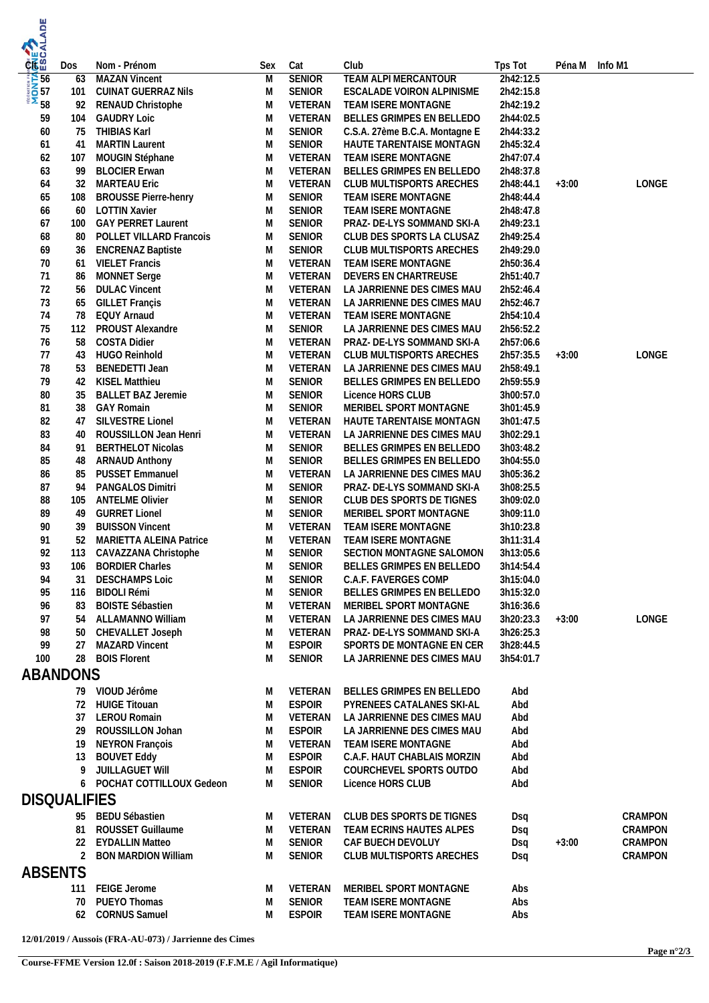| <b>MONTAGES<br/>MONTAGES</b><br>CO CJ CRESCALADE |            |                                                         |        |                                |                                                          |                        |         |         |
|--------------------------------------------------|------------|---------------------------------------------------------|--------|--------------------------------|----------------------------------------------------------|------------------------|---------|---------|
|                                                  |            |                                                         |        |                                |                                                          |                        |         |         |
|                                                  | Dos        | Nom - Prénom                                            | Sex    | Cat                            | Club                                                     | Tps Tot                | Péna M  | Info M1 |
|                                                  | 63         | <b>MAZAN Vincent</b>                                    | M      | <b>SENIOR</b>                  | <b>TEAM ALPI MERCANTOUR</b>                              | 2h42:12.5              |         |         |
|                                                  | 101<br>92  | <b>CUINAT GUERRAZ Nils</b><br>RENAUD Christophe         | M<br>M | <b>SENIOR</b><br>VETERAN       | ESCALADE VOIRON ALPINISME<br>TEAM ISERE MONTAGNE         | 2h42:15.8<br>2h42:19.2 |         |         |
| 59                                               | 104        | <b>GAUDRY Loic</b>                                      | M      | VETERAN                        | BELLES GRIMPES EN BELLEDO                                | 2h44:02.5              |         |         |
| 60                                               | 75         | THIBIAS Karl                                            | M      | <b>SENIOR</b>                  | C.S.A. 27ème B.C.A. Montagne E                           | 2h44:33.2              |         |         |
| 61                                               | 41         | <b>MARTIN Laurent</b>                                   | M      | <b>SENIOR</b>                  | HAUTE TARENTAISE MONTAGN                                 | 2h45:32.4              |         |         |
| 62<br>63                                         | 107<br>99  | MOUGIN Stéphane<br><b>BLOCIER Erwan</b>                 | M<br>M | VETERAN<br>VETERAN             | TEAM ISERE MONTAGNE<br>BELLES GRIMPES EN BELLEDO         | 2h47:07.4<br>2h48:37.8 |         |         |
| 64                                               | 32         | <b>MARTEAU Eric</b>                                     | M      | VETERAN                        | CLUB MULTISPORTS ARECHES                                 | 2h48:44.1              | $+3:00$ | LONGE   |
| 65                                               | 108        | <b>BROUSSE Pierre-henry</b>                             | M      | <b>SENIOR</b>                  | TEAM ISERE MONTAGNE                                      | 2h48:44.4              |         |         |
| 66                                               | 60         | <b>LOTTIN Xavier</b>                                    | M      | <b>SENIOR</b>                  | TEAM ISERE MONTAGNE                                      | 2h48:47.8              |         |         |
| 67<br>68                                         | 100<br>-80 | <b>GAY PERRET Laurent</b><br>POLLET VILLARD Francois    | M<br>M | <b>SENIOR</b><br><b>SENIOR</b> | PRAZ- DE-LYS SOMMAND SKI-A<br>CLUB DES SPORTS LA CLUSAZ  | 2h49:23.1<br>2h49:25.4 |         |         |
| 69                                               | 36         | <b>ENCRENAZ Baptiste</b>                                | M      | <b>SENIOR</b>                  | CLUB MULTISPORTS ARECHES                                 | 2h49:29.0              |         |         |
| 70                                               | 61         | <b>VIELET Francis</b>                                   | M      | VETERAN                        | TEAM ISERE MONTAGNE                                      | 2h50:36.4              |         |         |
| 71                                               | 86         | MONNET Serge                                            | M      | VETERAN                        | DEVERS EN CHARTREUSE                                     | 2h51:40.7              |         |         |
| 72<br>73                                         | 56<br>65   | <b>DULAC Vincent</b><br><b>GILLET</b> Françis           | M<br>M | VETERAN<br>VETERAN             | LA JARRIENNE DES CIMES MAU<br>LA JARRIENNE DES CIMES MAU | 2h52:46.4<br>2h52:46.7 |         |         |
| 74                                               | 78         | <b>EQUY Arnaud</b>                                      | M      | VETERAN                        | TEAM ISERE MONTAGNE                                      | 2h54:10.4              |         |         |
| 75                                               | 112        | PROUST Alexandre                                        | M      | <b>SENIOR</b>                  | LA JARRIENNE DES CIMES MAU                               | 2h56:52.2              |         |         |
| 76                                               | 58         | <b>COSTA Didier</b>                                     | M      | VETERAN                        | PRAZ- DE-LYS SOMMAND SKI-A                               | 2h57:06.6              |         |         |
| 77<br>78                                         | 43<br>53   | HUGO Reinhold<br><b>BENEDETTI Jean</b>                  | M<br>M | VETERAN<br>VETERAN             | CLUB MULTISPORTS ARECHES<br>LA JARRIENNE DES CIMES MAU   | 2h57:35.5<br>2h58:49.1 | $+3:00$ | LONGE   |
| 79                                               | 42         | KISEL Matthieu                                          | M      | <b>SENIOR</b>                  | BELLES GRIMPES EN BELLEDO                                | 2h59:55.9              |         |         |
| 80                                               | 35         | <b>BALLET BAZ Jeremie</b>                               | M      | <b>SENIOR</b>                  | Licence HORS CLUB                                        | 3h00:57.0              |         |         |
| 81                                               | 38         | <b>GAY Romain</b>                                       | M      | <b>SENIOR</b>                  | MERIBEL SPORT MONTAGNE                                   | 3h01:45.9              |         |         |
| 82<br>83                                         | 47<br>40   | SILVESTRE Lionel<br>ROUSSILLON Jean Henri               | M<br>M | VETERAN<br>VETERAN             | HAUTE TARENTAISE MONTAGN<br>LA JARRIENNE DES CIMES MAU   | 3h01:47.5<br>3h02:29.1 |         |         |
| 84                                               | 91         | <b>BERTHELOT Nicolas</b>                                | M      | <b>SENIOR</b>                  | BELLES GRIMPES EN BELLEDO                                | 3h03:48.2              |         |         |
| 85                                               | 48         | <b>ARNAUD Anthony</b>                                   | M      | <b>SENIOR</b>                  | BELLES GRIMPES EN BELLEDO                                | 3h04:55.0              |         |         |
| 86                                               | 85         | <b>PUSSET Emmanuel</b>                                  | M      | VETERAN                        | LA JARRIENNE DES CIMES MAU                               | 3h05:36.2              |         |         |
| 87<br>88                                         | 94<br>105  | PANGALOS Dimitri<br><b>ANTELME Olivier</b>              | M<br>M | <b>SENIOR</b><br><b>SENIOR</b> | PRAZ- DE-LYS SOMMAND SKI-A<br>CLUB DES SPORTS DE TIGNES  | 3h08:25.5<br>3h09:02.0 |         |         |
| 89                                               | 49         | <b>GURRET Lionel</b>                                    | M      | <b>SENIOR</b>                  | MERIBEL SPORT MONTAGNE                                   | 3h09:11.0              |         |         |
| 90                                               | 39         | <b>BUISSON Vincent</b>                                  | M      | VETERAN                        | TEAM ISERE MONTAGNE                                      | 3h10:23.8              |         |         |
| 91                                               | 52         | <b>MARIETTA ALEINA Patrice</b>                          | M      | VETERAN                        | TEAM ISERE MONTAGNE                                      | 3h11:31.4              |         |         |
| 92<br>93                                         | 113<br>106 | CAVAZZANA Christophe<br><b>BORDIER Charles</b>          | M<br>M | <b>SENIOR</b><br><b>SENIOR</b> | SECTION MONTAGNE SALOMON<br>BELLES GRIMPES EN BELLEDO    | 3h13:05.6<br>3h14:54.4 |         |         |
| 94                                               | 31         | <b>DESCHAMPS Loic</b>                                   | M      | <b>SENIOR</b>                  | C.A.F. FAVERGES COMP                                     | 3h15:04.0              |         |         |
| 95                                               | 116        | <b>BIDOLI Rémi</b>                                      | M      | <b>SENIOR</b>                  | BELLES GRIMPES EN BELLEDO                                | 3h15:32.0              |         |         |
| 96                                               | 83         | <b>BOISTE Sébastien</b>                                 | M      | VETERAN                        | MERIBEL SPORT MONTAGNE                                   | 3h16:36.6              |         |         |
| 97<br>98                                         | 54<br>50   | ALLAMANNO William<br><b>CHEVALLET Joseph</b>            | M<br>M | VETERAN<br>VETERAN             | LA JARRIENNE DES CIMES MAU<br>PRAZ- DE-LYS SOMMAND SKI-A | 3h20:23.3<br>3h26:25.3 | $+3:00$ | LONGE   |
| 99                                               | 27         | <b>MAZARD Vincent</b>                                   | M      | <b>ESPOIR</b>                  | SPORTS DE MONTAGNE EN CER                                | 3h28:44.5              |         |         |
| 100                                              |            | 28 BOIS Florent                                         | M      | <b>SENIOR</b>                  | LA JARRIENNE DES CIMES MAU                               | 3h54:01.7              |         |         |
| ABANDONS                                         |            |                                                         |        |                                |                                                          |                        |         |         |
|                                                  |            | 79 VIOUD Jérôme                                         | M      | VETERAN                        | BELLES GRIMPES EN BELLEDO                                | Abd                    |         |         |
|                                                  | 72         | <b>HUIGE Titouan</b><br><b>LEROU Romain</b>             | M      | <b>ESPOIR</b><br>VETERAN       | PYRENEES CATALANES SKI-AL                                | Abd                    |         |         |
|                                                  | 37<br>29   | ROUSSILLON Johan                                        | M<br>M | <b>ESPOIR</b>                  | LA JARRIENNE DES CIMES MAU<br>LA JARRIENNE DES CIMES MAU | Abd<br>Abd             |         |         |
|                                                  | 19         | NEYRON François                                         | M      | VETERAN                        | TEAM ISERE MONTAGNE                                      | Abd                    |         |         |
|                                                  | 13         | <b>BOUVET Eddy</b>                                      | M      | <b>ESPOIR</b>                  | C.A.F. HAUT CHABLAIS MORZIN                              | Abd                    |         |         |
|                                                  | 9          | JUILLAGUET WIII                                         | M<br>M | <b>ESPOIR</b>                  | COURCHEVEL SPORTS OUTDO                                  | Abd                    |         |         |
|                                                  | 6          | POCHAT COTTILLOUX Gedeon                                |        | <b>SENIOR</b>                  | Licence HORS CLUB                                        | Abd                    |         |         |
| <b>DISQUALIFIES</b>                              | 95         | <b>BEDU Sébastien</b>                                   |        | VETERAN                        | CLUB DES SPORTS DE TIGNES                                |                        |         | CRAMPON |
|                                                  | 81         | ROUSSET Guillaume                                       | M<br>M | VETERAN                        | TEAM ECRINS HAUTES ALPES                                 | Dsq<br>Dsq             |         | CRAMPON |
|                                                  | 22         | <b>EYDALLIN Matteo</b>                                  | M      | SENIOR                         | CAF BUECH DEVOLUY                                        | Dsq                    | $+3:00$ | CRAMPON |
|                                                  | 2          | <b>BON MARDION William</b>                              | M      | <b>SENIOR</b>                  | CLUB MULTISPORTS ARECHES                                 | Dsq                    |         | CRAMPON |
| <b>ABSENTS</b>                                   |            |                                                         |        |                                |                                                          |                        |         |         |
|                                                  | 111        | FEIGE Jerome                                            | M      | VETERAN                        | MERIBEL SPORT MONTAGNE                                   | Abs                    |         |         |
|                                                  | 70         | PUEYO Thomas                                            | M      | <b>SENIOR</b>                  | TEAM ISERE MONTAGNE                                      | Abs                    |         |         |
|                                                  | 62         | <b>CORNUS Samuel</b>                                    | M      | <b>ESPOIR</b>                  | TEAM ISERE MONTAGNE                                      | Abs                    |         |         |
|                                                  |            | 12/01/2019 / Aussois (FRA-AU-073) / Jarrienne des Cimes |        |                                |                                                          |                        |         |         |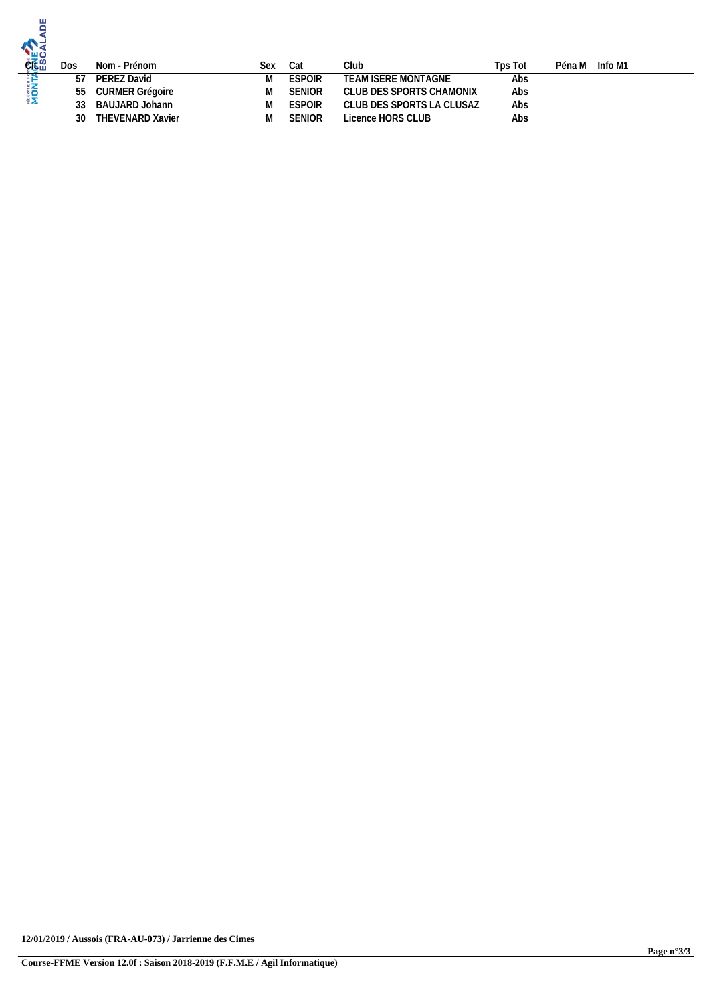| 뿜<br><b>CRALE 2</b> | Dos | Nom - Prénom            | Sex | Cat           | Club                      | Tps Tot | Péna M Info M1 |
|---------------------|-----|-------------------------|-----|---------------|---------------------------|---------|----------------|
|                     | 57  | PEREZ David             | M   | <b>ESPOIR</b> | TEAM ISERE MONTAGNE       | Abs     |                |
| <b>MON</b>          | 55  | CURMER Grégoire         | M   | <b>SENIOR</b> | CLUB DES SPORTS CHAMONIX  | Abs     |                |
|                     |     | BAUJARD Johann          | M   | <b>ESPOIR</b> | CLUB DES SPORTS LA CLUSAZ | Abs     |                |
|                     | 30  | <b>THEVENARD Xavier</b> | M   | <b>SENIOR</b> | Licence HORS CLUB         | Abs     |                |
|                     |     |                         |     |               |                           |         |                |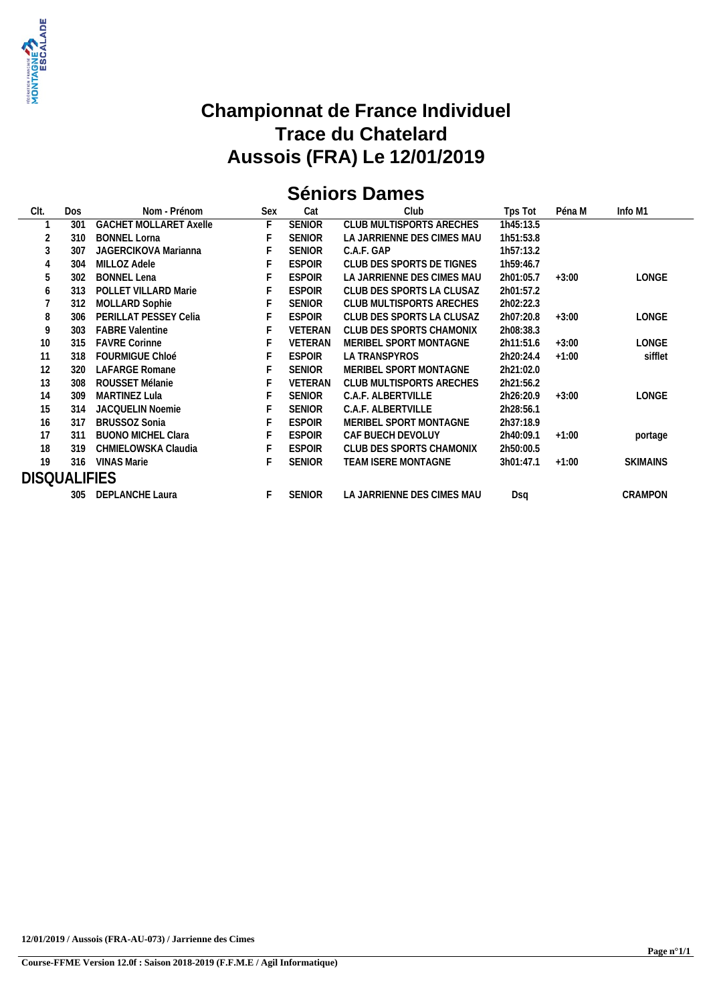

## **Séniors Dames**

| CIt.                | <b>Dos</b> | Nom - Prénom                  | Sex | Cat            | Club                       | Tps Tot   | Péna M  | Info M1         |
|---------------------|------------|-------------------------------|-----|----------------|----------------------------|-----------|---------|-----------------|
|                     | 301        | <b>GACHET MOLLARET Axelle</b> | F   | <b>SENIOR</b>  | CLUB MULTISPORTS ARECHES   | 1h45:13.5 |         |                 |
|                     | 310        | <b>BONNEL Lorna</b>           |     | <b>SENIOR</b>  | LA JARRIENNE DES CIMES MAU | 1h51:53.8 |         |                 |
|                     | 307        | JAGERCIKOVA Marianna          |     | <b>SENIOR</b>  | C.A.F. GAP                 | 1h57:13.2 |         |                 |
| 4                   | 304        | MILLOZ Adele                  |     | <b>ESPOIR</b>  | CLUB DES SPORTS DE TIGNES  | 1h59:46.7 |         |                 |
| 5                   | 302        | <b>BONNEL Lena</b>            |     | <b>ESPOIR</b>  | LA JARRIENNE DES CIMES MAU | 2h01:05.7 | $+3:00$ | <b>LONGE</b>    |
| 6                   | 313        | <b>POLLET VILLARD Marie</b>   |     | <b>ESPOIR</b>  | CLUB DES SPORTS LA CLUSAZ  | 2h01:57.2 |         |                 |
|                     | 312        | MOLLARD Sophie                |     | <b>SENIOR</b>  | CLUB MULTISPORTS ARECHES   | 2h02:22.3 |         |                 |
| 8                   | 306        | PERILLAT PESSEY Celia         |     | <b>ESPOIR</b>  | CLUB DES SPORTS LA CLUSAZ  | 2h07:20.8 | $+3:00$ | LONGE           |
| 9                   | 303        | <b>FABRE Valentine</b>        |     | <b>VETERAN</b> | CLUB DES SPORTS CHAMONIX   | 2h08:38.3 |         |                 |
| 10                  | 315        | <b>FAVRE Corinne</b>          |     | VETERAN        | MERIBEL SPORT MONTAGNE     | 2h11:51.6 | $+3:00$ | <b>LONGE</b>    |
| 11                  | 318        | <b>FOURMIGUE Chloé</b>        |     | <b>ESPOIR</b>  | LA TRANSPYROS              | 2h20:24.4 | $+1:00$ | sifflet         |
| 12                  | 320        | LAFARGE Romane                |     | <b>SENIOR</b>  | MERIBEL SPORT MONTAGNE     | 2h21:02.0 |         |                 |
| 13                  | 308        | ROUSSET Mélanie               |     | <b>VETERAN</b> | CLUB MULTISPORTS ARECHES   | 2h21:56.2 |         |                 |
| 14                  | 309        | MARTINEZ Lula                 |     | <b>SENIOR</b>  | C.A.F. ALBERTVILLE         | 2h26:20.9 | $+3:00$ | LONGE           |
| 15                  | 314        | <b>JACQUELIN Noemie</b>       |     | <b>SENIOR</b>  | C.A.F. ALBERTVILLE         | 2h28:56.1 |         |                 |
| 16                  | 317        | <b>BRUSSOZ Sonia</b>          |     | <b>ESPOIR</b>  | MERIBEL SPORT MONTAGNE     | 2h37:18.9 |         |                 |
| 17                  | 311        | <b>BUONO MICHEL Clara</b>     |     | <b>ESPOIR</b>  | CAF BUECH DEVOLUY          | 2h40:09.1 | $+1:00$ | portage         |
| 18                  | 319        | CHMIELOWSKA Claudia           |     | <b>ESPOIR</b>  | CLUB DES SPORTS CHAMONIX   | 2h50:00.5 |         |                 |
| 19                  | 316        | <b>VINAS Marie</b>            |     | <b>SENIOR</b>  | TEAM ISERE MONTAGNE        | 3h01:47.1 | $+1:00$ | <b>SKIMAINS</b> |
| <b>DISQUALIFIES</b> |            |                               |     |                |                            |           |         |                 |
|                     |            | 305 DEPLANCHE Laura           | F.  | <b>SENIOR</b>  | LA JARRIENNE DES CIMES MAU | Dsa       |         | CRAMPON         |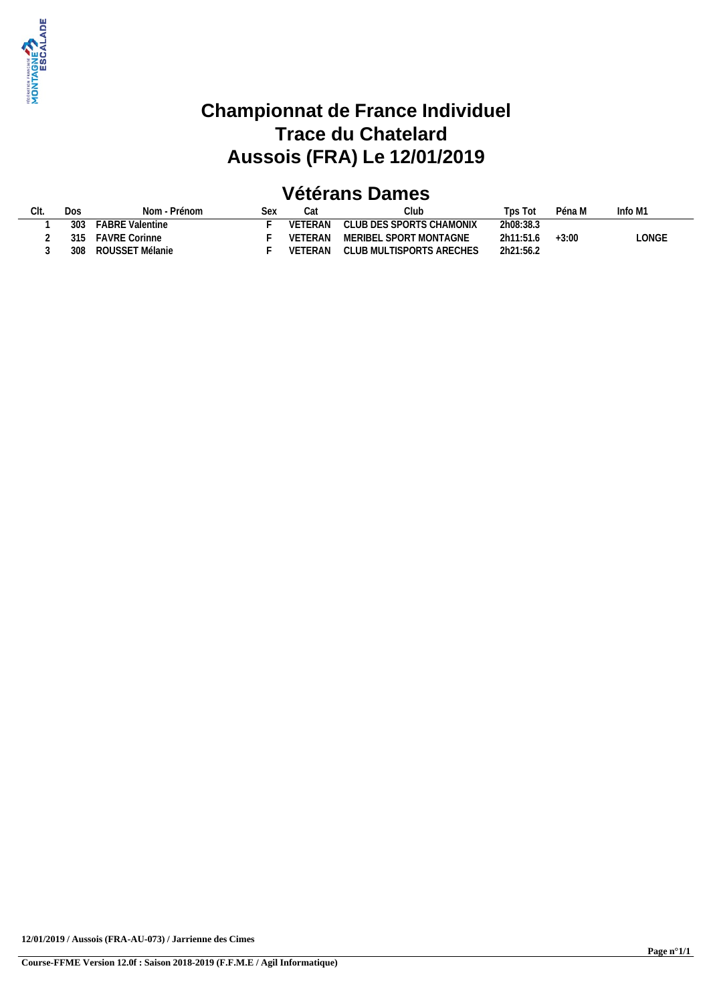

## **Vétérans Dames**

| CLUB DES SPORTS CHAMONIX<br>VETERAN<br><b>FABRE Valentine</b><br>2h08:38.3<br>303<br>.ONGE<br>MERIBEL SPORT MONTAGNE<br><b>FAVRE Corinne</b><br>2h11:51.6<br>$+3:00$<br>VETERAN<br>315 | Dos | Nom - Prénom    | <b>SAX</b> | Cat     | $C$ lub                  | $\tau$ ps Tot | Péna M | Info M1 |
|----------------------------------------------------------------------------------------------------------------------------------------------------------------------------------------|-----|-----------------|------------|---------|--------------------------|---------------|--------|---------|
|                                                                                                                                                                                        |     |                 |            |         |                          |               |        |         |
|                                                                                                                                                                                        |     |                 |            |         |                          |               |        |         |
|                                                                                                                                                                                        | 308 | ROUSSET Mélanie |            | VETERAN | CLUB MULTISPORTS ARECHES | 2h21:56.2     |        |         |

**12/01/2019 / Aussois (FRA-AU-073) / Jarrienne des Cimes**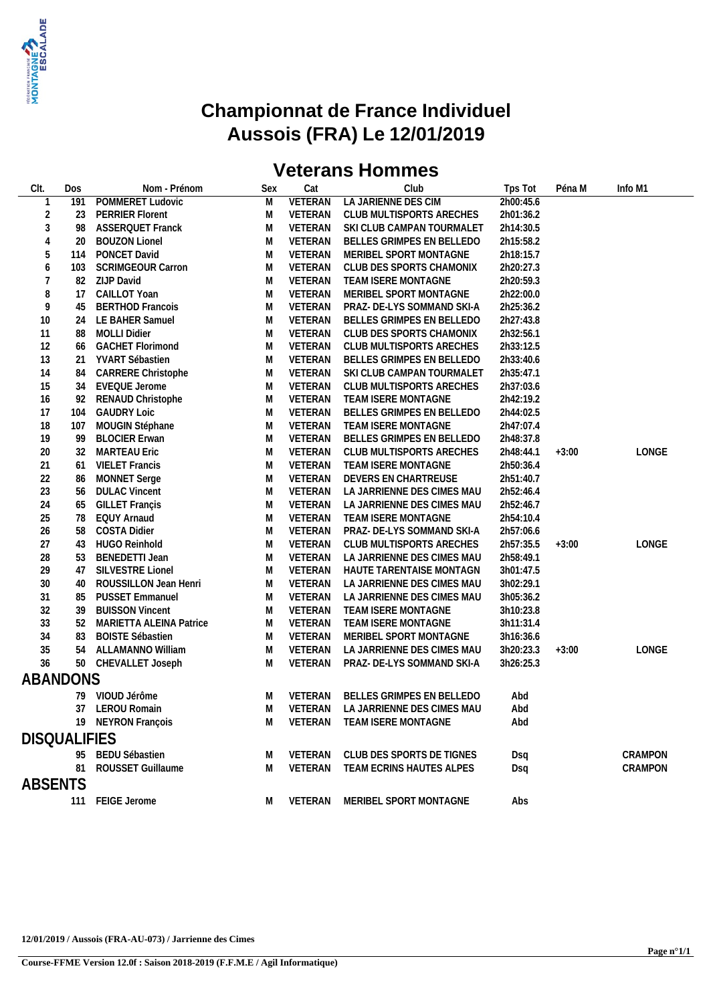

## **Championnat de France Individuel Aussois (FRA) Le 12/01/2019**

## **Veterans Hommes**

| CIt.                | Dos | Nom - Prénom                   | Sex    | Cat            | Club                           | Tps Tot    | Péna M  | Info M1 |
|---------------------|-----|--------------------------------|--------|----------------|--------------------------------|------------|---------|---------|
|                     | 191 | POMMERET Ludovic               | M      | <b>VETERAN</b> | LA JARIENNE DES CIM            | 2h00:45.6  |         |         |
| $\overline{2}$      | 23  | <b>PERRIER Florent</b>         | M      | VETERAN        | CLUB MULTISPORTS ARECHES       | 2h01:36.2  |         |         |
| 3                   | 98  | <b>ASSERQUET Franck</b>        | M      | VETERAN        | SKI CLUB CAMPAN TOURMALET      | 2h14:30.5  |         |         |
| 4                   | 20  | <b>BOUZON Lionel</b>           | M      | VETERAN        | BELLES GRIMPES EN BELLEDO      | 2h15:58.2  |         |         |
| 5                   | 114 | PONCET David                   | M      | VETERAN        | MERIBEL SPORT MONTAGNE         | 2h18:15.7  |         |         |
| 6                   | 103 | <b>SCRIMGEOUR Carron</b>       | M      | VETERAN        | CLUB DES SPORTS CHAMONIX       | 2h20:27.3  |         |         |
| $\overline{7}$      | 82  | <b>ZIJP David</b>              | M      | VETERAN        | TEAM ISERE MONTAGNE            | 2h20:59.3  |         |         |
| 8                   | 17  | CAILLOT Yoan                   | M      | VETERAN        | MERIBEL SPORT MONTAGNE         | 2h22:00.0  |         |         |
| 9                   | 45  | <b>BERTHOD Francois</b>        | M      | VETERAN        | PRAZ- DE-LYS SOMMAND SKI-A     | 2h25:36.2  |         |         |
| 10                  | 24  | LE BAHER Samuel                | M      | VETERAN        | BELLES GRIMPES EN BELLEDO      | 2h27:43.8  |         |         |
| 11                  | 88  | <b>MOLLI Didier</b>            | M      | VETERAN        | CLUB DES SPORTS CHAMONIX       | 2h32:56.1  |         |         |
| 12                  | 66  | <b>GACHET Florimond</b>        | M      | VETERAN        | CLUB MULTISPORTS ARECHES       | 2h33:12.5  |         |         |
| 13                  | 21  | YVART Sébastien                | M      | VETERAN        | BELLES GRIMPES EN BELLEDO      | 2h33:40.6  |         |         |
| 14                  | 84  | CARRERE Christophe             | M      | VETERAN        | SKI CLUB CAMPAN TOURMALET      | 2h35:47.1  |         |         |
| 15                  | 34  | EVEQUE Jerome                  | M      | VETERAN        | CLUB MULTISPORTS ARECHES       | 2h37:03.6  |         |         |
| 16                  | 92  | RENAUD Christophe              | M      | VETERAN        | TEAM ISERE MONTAGNE            | 2h42:19.2  |         |         |
| 17                  | 104 | <b>GAUDRY Loic</b>             | M      | VETERAN        | BELLES GRIMPES EN BELLEDO      | 2h44:02.5  |         |         |
| 18                  | 107 | MOUGIN Stéphane                | M      | VETERAN        | TEAM ISERE MONTAGNE            | 2h47:07.4  |         |         |
| 19                  | -99 | <b>BLOCIER Erwan</b>           | M      | VETERAN        | BELLES GRIMPES EN BELLEDO      | 2h48:37.8  |         |         |
| 20                  | 32  | <b>MARTEAU Eric</b>            | M      | VETERAN        | CLUB MULTISPORTS ARECHES       | 2h48:44.1  | $+3:00$ | LONGE   |
| 21                  | 61  | <b>VIELET Francis</b>          | M      | VETERAN        | TEAM ISERE MONTAGNE            | 2h50:36.4  |         |         |
| 22                  | 86  | <b>MONNET</b> Serge            | M      | VETERAN        | DEVERS EN CHARTREUSE           | 2h51:40.7  |         |         |
| 23                  | 56  | <b>DULAC Vincent</b>           | M      | VETERAN        | LA JARRIENNE DES CIMES MAU     | 2h52:46.4  |         |         |
| 24                  | 65  | <b>GILLET Françis</b>          | M      | VETERAN        | LA JARRIENNE DES CIMES MAU     | 2h52:46.7  |         |         |
| 25                  | 78  | <b>EQUY Arnaud</b>             | M      | VETERAN        | TEAM ISERE MONTAGNE            | 2h54:10.4  |         |         |
| 26                  | 58  | <b>COSTA Didier</b>            | M      | VETERAN        | PRAZ- DE-LYS SOMMAND SKI-A     | 2h57:06.6  |         |         |
| 27                  | 43  | HUGO Reinhold                  | M      | VETERAN        | CLUB MULTISPORTS ARECHES       | 2h57:35.5  | $+3:00$ | LONGE   |
| 28                  | 53  | <b>BENEDETTI Jean</b>          | M      | VETERAN        | LA JARRIENNE DES CIMES MAU     | 2h58:49.1  |         |         |
| 29                  | 47  | SILVESTRE Lionel               | M      | VETERAN        | HAUTE TARENTAISE MONTAGN       | 3h01:47.5  |         |         |
| 30                  | 40  | ROUSSILLON Jean Henri          | M      | VETERAN        | LA JARRIENNE DES CIMES MAU     | 3h02:29.1  |         |         |
| 31                  | 85  | <b>PUSSET Emmanuel</b>         | M      | VETERAN        | LA JARRIENNE DES CIMES MAU     | 3h05:36.2  |         |         |
| 32                  | 39  | <b>BUISSON Vincent</b>         | M      | VETERAN        | TEAM ISERE MONTAGNE            | 3h10:23.8  |         |         |
| 33                  | 52  | <b>MARIETTA ALEINA Patrice</b> | M      | VETERAN        | TEAM ISERE MONTAGNE            | 3h11:31.4  |         |         |
| 34                  | 83  | <b>BOISTE Sébastien</b>        | M      | VETERAN        | MERIBEL SPORT MONTAGNE         | 3h16:36.6  |         |         |
| 35                  | 54  | ALLAMANNO William              | M      | VETERAN        | LA JARRIENNE DES CIMES MAU     | 3h20:23.3  | $+3:00$ | LONGE   |
| 36                  | 50  | CHEVALLET Joseph               | M      | VETERAN        | PRAZ- DE-LYS SOMMAND SKI-A     | 3h26:25.3  |         |         |
| ABANDONS            |     |                                |        |                |                                |            |         |         |
|                     | 79. | VIOUD Jérôme                   | M      | VETERAN        | BELLES GRIMPES EN BELLEDO      | Abd        |         |         |
|                     | 37  | <b>LEROU Romain</b>            | M      | VETERAN        | LA JARRIENNE DES CIMES MAU     | Abd        |         |         |
|                     |     | 19 NEYRON François             |        | VETERAN        | TEAM ISERE MONTAGNE            | Abd        |         |         |
| <b>DISQUALIFIES</b> |     |                                |        |                |                                |            |         |         |
|                     |     | 95 BEDU Sébastien              |        | VETERAN        | CLUB DES SPORTS DE TIGNES      |            |         | CRAMPON |
|                     | 81  | ROUSSET Guillaume              | M<br>M | VETERAN        | TEAM ECRINS HAUTES ALPES       | Dsq<br>Dsq |         | CRAMPON |
|                     |     |                                |        |                |                                |            |         |         |
| ABSENTS             |     |                                |        |                |                                |            |         |         |
|                     |     | 111 FEIGE Jerome               |        |                | VETERAN MERIBEL SPORT MONTAGNE | Abs        |         |         |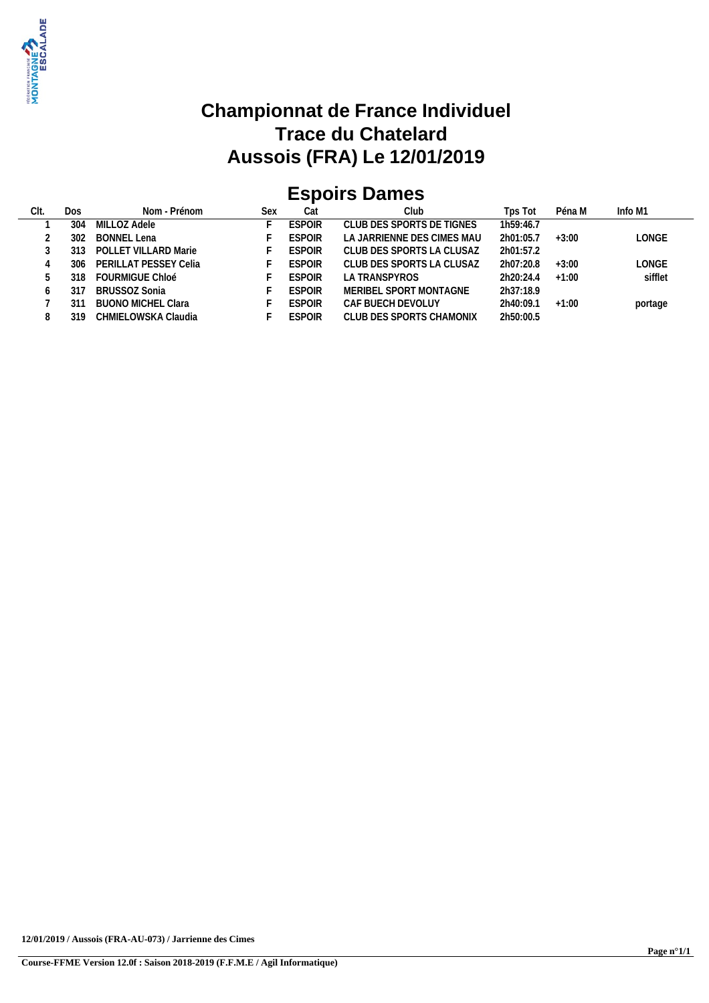

# **Espoirs Dames**

| Clt. | Dos  | Nom - Prénom           | Sex | Cat           | Club                       | Tps Tot   | Péna M  | Info M1 |  |
|------|------|------------------------|-----|---------------|----------------------------|-----------|---------|---------|--|
|      | 304  | MILLOZ Adele           |     | <b>ESPOIR</b> | CLUB DES SPORTS DE TIGNES  | 1h59:46.7 |         |         |  |
|      | 302  | BONNEL Lena            |     | <b>ESPOIR</b> | LA JARRIENNE DES CIMES MAU | 2h01:05.7 | $+3:00$ | LONGE   |  |
|      |      | POLLET VILLARD Marie   |     | <b>ESPOIR</b> | CLUB DES SPORTS LA CLUSAZ  | 2h01:57.2 |         |         |  |
|      | 306. | PERILLAT PESSEY Celia  |     | <b>ESPOIR</b> | CLUB DES SPORTS LA CLUSAZ  | 2h07:20.8 | $+3:00$ | LONGE   |  |
|      | 318  | <b>FOURMIGUE Chloé</b> |     | <b>FSPOIR</b> | LA TRANSPYROS              | 2h20:24.4 | $+1:00$ | sifflet |  |
|      |      | BRUSSOZ Sonia          |     | <b>ESPOIR</b> | MERIBEL SPORT MONTAGNE     | 2h37:18.9 |         |         |  |
|      |      | BUONO MICHEL Clara     |     | <b>ESPOIR</b> | CAF BUECH DEVOLUY          | 2h40:09.1 | $+1:00$ | portage |  |
|      | 310  | CHMIELOWSKA Claudia    |     | <b>ESPOIR</b> | CLUB DES SPORTS CHAMONIX   | 2h50:00.5 |         |         |  |